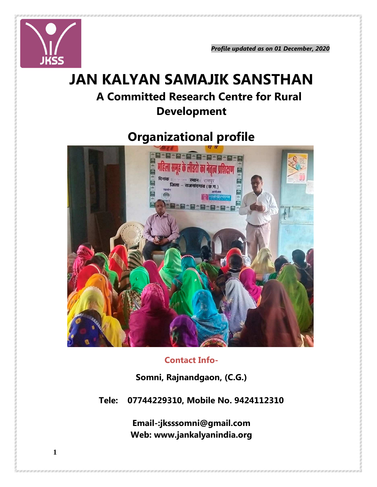

*Profile updated as on 01 December, 2020* 

# **JAN KALYAN SAMAJIK SANSTHAN A Committed Research Centre for Rural Development**

## **Organizational profile**



## **Contact Info-**

**Somni, Rajnandgaon, (C.G.)** 

**Tele: 07744229310, Mobile No. 9424112310** 

**Email-:jksssomni@gmail.com Web: www.jankalyanindia.org**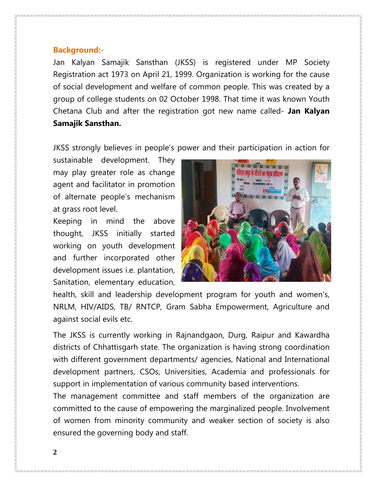#### **Background:-**

Jan Kalyan Samajik Sansthan (JKSS) is registered under MP Society Registration act 1973 on April 21, 1999. Organization is working for the cause of social development and welfare of common people. This was created by a group of college students on 02 October 1998. That time it was known Youth Chetana Club and after the registration got new name called- **Jan Kalyan Samajik Sansthan.** 

JKSS strongly believes in people's power and their participation in action for

sustainable development. They may play greater role as change agent and facilitator in promotion of alternate people's mechanism at grass root level.

Keeping in mind the above thought, JKSS initially started working on youth development and further incorporated other development issues i.e. plantation, Sanitation, elementary education,



health, skill and leadership development program for youth and women's, NRLM, HIV/AIDS, TB/ RNTCP, Gram Sabha Empowerment, Agriculture and against social evils etc.

The JKSS is currently working in Rajnandgaon, Durg, Raipur and Kawardha districts of Chhattisgarh state. The organization is having strong coordination with different government departments/ agencies, National and International development partners, CSOs, Universities, Academia and professionals for support in implementation of various community based interventions.

The management committee and staff members of the organization are committed to the cause of empowering the marginalized people. Involvement of women from minority community and weaker section of society is also ensured the governing body and staff.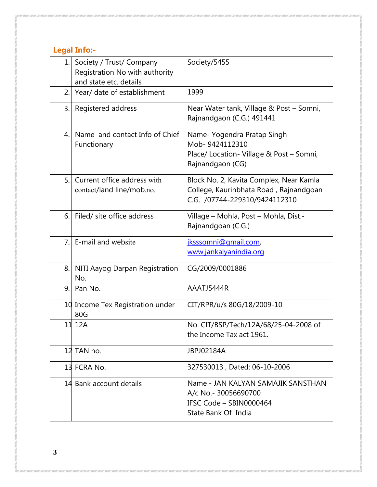## **Legal Info:-**

| 1. | Society / Trust/ Company<br>Registration No with authority<br>and state etc. details | Society/5455                                                                                                       |
|----|--------------------------------------------------------------------------------------|--------------------------------------------------------------------------------------------------------------------|
| 2. | Year/ date of establishment                                                          | 1999                                                                                                               |
| 3. | Registered address                                                                   | Near Water tank, Village & Post - Somni,<br>Rajnandgaon (C.G.) 491441                                              |
| 4. | Name and contact Info of Chief<br>Functionary                                        | Name-Yogendra Pratap Singh<br>Mob-9424112310<br>Place/ Location- Village & Post - Somni,<br>Rajnandgaon (CG)       |
| 5. | Current office address with<br>contact/land line/mob.no.                             | Block No. 2, Kavita Complex, Near Kamla<br>College, Kaurinbhata Road, Rajnandgoan<br>C.G. /07744-229310/9424112310 |
| 6. | Filed/ site office address                                                           | Village – Mohla, Post – Mohla, Dist.-<br>Rajnandgoan (C.G.)                                                        |
| 7. | E-mail and website                                                                   | jksssomni@gmail.com,<br>www.jankalyanindia.org                                                                     |
| 8. | NITI Aayog Darpan Registration<br>No.                                                | CG/2009/0001886                                                                                                    |
| 9. | Pan No.                                                                              | AAATJ5444R                                                                                                         |
|    | 10 Income Tex Registration under<br>80G                                              | CIT/RPR/u/s 80G/18/2009-10                                                                                         |
|    | 11 12A                                                                               | No. CIT/BSP/Tech/12A/68/25-04-2008 of<br>the Income Tax act 1961.                                                  |
|    | 12 TAN no.                                                                           | JBPJ02184A                                                                                                         |
|    | 13 FCRA No.                                                                          | 327530013, Dated: 06-10-2006                                                                                       |
|    | 14 Bank account details                                                              | Name - JAN KALYAN SAMAJIK SANSTHAN<br>A/c No. - 30056690700<br>IFSC Code - SBIN0000464<br>State Bank Of India      |

**3**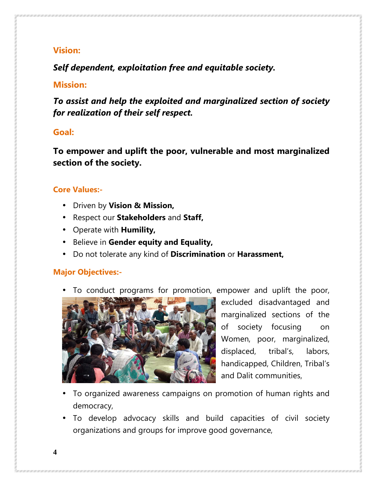## **Vision:**

*Self dependent, exploitation free and equitable society.* 

## **Mission:**

*To assist and help the exploited and marginalized section of society for realization of their self respect.* 

## **Goal:**

**To empower and uplift the poor, vulnerable and most marginalized section of the society.** 

#### **Core Values:-**

- Driven by **Vision & Mission,**
- Respect our **Stakeholders** and **Staff,**
- Operate with **Humility,**
- Believe in **Gender equity and Equality,**
- Do not tolerate any kind of **Discrimination** or **Harassment,**

## **Major Objectives:-**

To conduct programs for promotion, empower and uplift the poor,



excluded disadvantaged and marginalized sections of the of society focusing on Women, poor, marginalized, displaced, tribal's, labors, handicapped, Children, Tribal's and Dalit communities,

- To organized awareness campaigns on promotion of human rights and democracy,
- To develop advocacy skills and build capacities of civil society organizations and groups for improve good governance,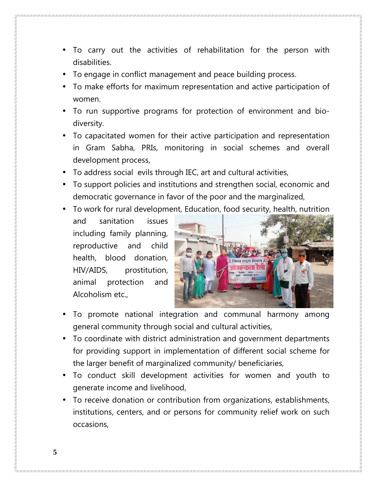- To carry out the activities of rehabilitation for the person with disabilities.
- To engage in conflict management and peace building process.
- To make efforts for maximum representation and active participation of women.
- To run supportive programs for protection of environment and biodiversity.
- To capacitated women for their active participation and representation in Gram Sabha, PRIs, monitoring in social schemes and overall development process,
- To address social evils through IEC, art and cultural activities,
- To support policies and institutions and strengthen social, economic and democratic governance in favor of the poor and the marginalized,
- To work for rural development, Education, food security, health, nutrition
- and sanitation issues including family planning, reproductive and child health, blood donation, HIV/AIDS, prostitution, animal protection and Alcoholism etc.,



- To promote national integration and communal harmony among general community through social and cultural activities,
- To coordinate with district administration and government departments for providing support in implementation of different social scheme for the larger benefit of marginalized community/ beneficiaries,
- To conduct skill development activities for women and youth to generate income and livelihood,
- To receive donation or contribution from organizations, establishments, institutions, centers, and or persons for community relief work on such occasions,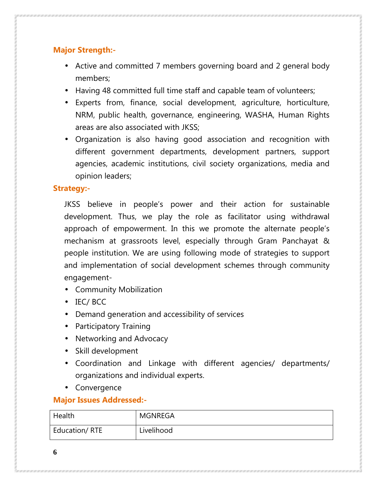## **Major Strength:-**

- Active and committed 7 members governing board and 2 general body members;
- Having 48 committed full time staff and capable team of volunteers;
- Experts from, finance, social development, agriculture, horticulture, NRM, public health, governance, engineering, WASHA, Human Rights areas are also associated with JKSS;
- Organization is also having good association and recognition with different government departments, development partners, support agencies, academic institutions, civil society organizations, media and opinion leaders;

#### **Strategy:-**

JKSS believe in people's power and their action for sustainable development. Thus, we play the role as facilitator using withdrawal approach of empowerment. In this we promote the alternate people's mechanism at grassroots level, especially through Gram Panchayat & people institution. We are using following mode of strategies to support and implementation of social development schemes through community engagement-

- Community Mobilization
- IEC/ BCC
- Demand generation and accessibility of services
- Participatory Training
- Networking and Advocacy
- Skill development
- Coordination and Linkage with different agencies/ departments/ organizations and individual experts.
- Convergence

## **Major Issues Addressed:-**

| Health        | MGNREGA    |
|---------------|------------|
| Education/RTE | Livelihood |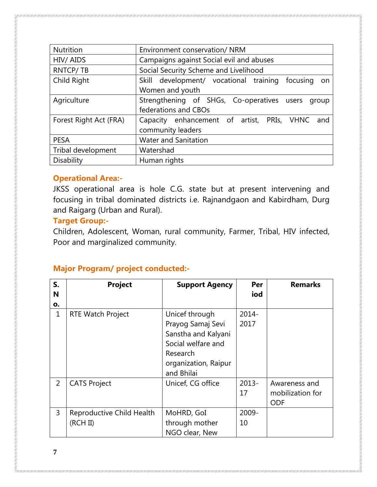| Environment conservation/ NRM                              |  |  |
|------------------------------------------------------------|--|--|
| Campaigns against Social evil and abuses                   |  |  |
| Social Security Scheme and Livelihood                      |  |  |
| Skill development/ vocational training<br>focusing<br>on o |  |  |
| Women and youth                                            |  |  |
| Strengthening of SHGs, Co-operatives users<br>group        |  |  |
| federations and CBOs                                       |  |  |
| Capacity enhancement of artist, PRIs, VHNC<br>and          |  |  |
| community leaders                                          |  |  |
| <b>Water and Sanitation</b>                                |  |  |
| Watershad                                                  |  |  |
| Human rights                                               |  |  |
|                                                            |  |  |

#### **Operational Area:-**

JKSS operational area is hole C.G. state but at present intervening and focusing in tribal dominated districts i.e. Rajnandgaon and Kabirdham, Durg and Raigarg (Urban and Rural).

#### **Target Group:-**

Children, Adolescent, Woman, rural community, Farmer, Tribal, HIV infected, Poor and marginalized community.

## **Major Program/ project conducted:-**

| S.<br>N<br>o. | <b>Project</b>                        | <b>Support Agency</b>                                                                                                              | Per<br>iod       | <b>Remarks</b>                                  |
|---------------|---------------------------------------|------------------------------------------------------------------------------------------------------------------------------------|------------------|-------------------------------------------------|
| 1             | <b>RTE Watch Project</b>              | Unicef through<br>Prayog Samaj Sevi<br>Sanstha and Kalyani<br>Social welfare and<br>Research<br>organization, Raipur<br>and Bhilai | $2014 -$<br>2017 |                                                 |
| 2             | <b>CATS Project</b>                   | Unicef, CG office                                                                                                                  | $2013 -$<br>17   | Awareness and<br>mobilization for<br><b>ODF</b> |
| 3             | Reproductive Child Health<br>(RCH II) | MoHRD, GoI<br>through mother<br>NGO clear, New                                                                                     | 2009-<br>10      |                                                 |

**7**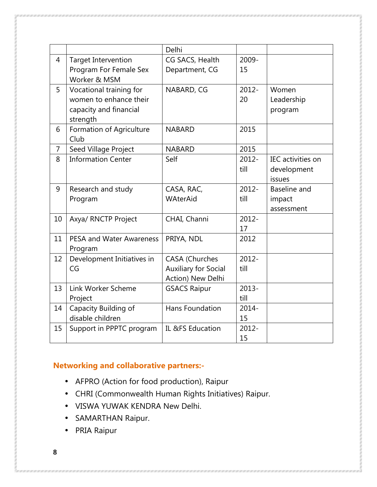|                |                            | Delhi                       |          |                          |
|----------------|----------------------------|-----------------------------|----------|--------------------------|
| $\overline{4}$ | <b>Target Intervention</b> | CG SACS, Health             | 2009-    |                          |
|                | Program For Female Sex     | Department, CG              | 15       |                          |
|                | Worker & MSM               |                             |          |                          |
| 5              | Vocational training for    | NABARD, CG                  | $2012 -$ | Women                    |
|                | women to enhance their     |                             | 20       | Leadership               |
|                | capacity and financial     |                             |          | program                  |
|                | strength                   |                             |          |                          |
| 6              | Formation of Agriculture   | <b>NABARD</b>               | 2015     |                          |
|                | Club                       |                             |          |                          |
| $\overline{7}$ | Seed Village Project       | <b>NABARD</b>               | 2015     |                          |
| 8              | <b>Information Center</b>  | Self                        | $2012 -$ | <b>IEC</b> activities on |
|                |                            |                             | till     | development              |
|                |                            |                             |          | issues                   |
| 9              | Research and study         | CASA, RAC,                  | $2012 -$ | Baseline and             |
|                | Program                    | WAterAid                    | till     | impact                   |
|                |                            |                             |          | assessment               |
| 10             | Axya/ RNCTP Project        | CHAI, Channi                | $2012 -$ |                          |
|                |                            |                             | 17       |                          |
| 11             | PESA and Water Awareness   | PRIYA, NDL                  | 2012     |                          |
|                | Program                    |                             |          |                          |
| 12             | Development Initiatives in | <b>CASA (Churches</b>       | $2012 -$ |                          |
|                | CG                         | <b>Auxiliary for Social</b> | till     |                          |
|                |                            | Action) New Delhi           |          |                          |
| 13             | Link Worker Scheme         | <b>GSACS Raipur</b>         | $2013 -$ |                          |
|                | Project                    |                             | till     |                          |
| 14             | Capacity Building of       | Hans Foundation             | $2014 -$ |                          |
|                | disable children           |                             | 15       |                          |
| 15             | Support in PPPTC program   | IL &FS Education            | 2012-    |                          |
|                |                            |                             | 15       |                          |

## **Networking and collaborative partners:-**

- AFPRO (Action for food production), Raipur
- CHRI (Commonwealth Human Rights Initiatives) Raipur.
- VISWA YUWAK KENDRA New Delhi.
- SAMARTHAN Raipur.
- PRIA Raipur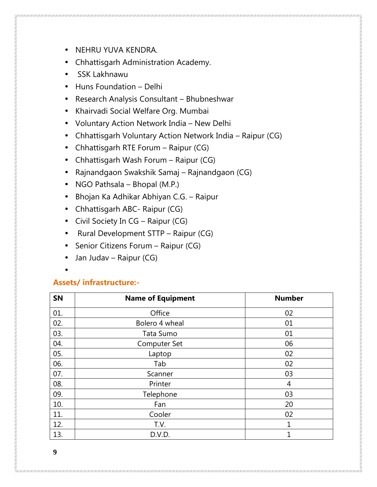- NEHRU YUVA KENDRA.
- Chhattisgarh Administration Academy.
- SSK Lakhnawu
- Huns Foundation Delhi
- Research Analysis Consultant Bhubneshwar
- Khairvadi Social Welfare Org. Mumbai
- Voluntary Action Network India New Delhi
- Chhattisgarh Voluntary Action Network India Raipur (CG)
- Chhattisgarh RTE Forum Raipur (CG)
- Chhattisgarh Wash Forum Raipur (CG)
- Rajnandgaon Swakshik Samaj Rajnandgaon (CG)
- NGO Pathsala Bhopal (M.P.)
- Bhojan Ka Adhikar Abhiyan C.G. Raipur
- Chhattisgarh ABC- Raipur (CG)
- Civil Society In CG Raipur (CG)
- Rural Development STTP Raipur (CG)
- Senior Citizens Forum Raipur (CG)
- Jan Judav Raipur (CG)
- •

#### **Assets/ infrastructure:-**

| SN  | <b>Name of Equipment</b> | <b>Number</b> |
|-----|--------------------------|---------------|
| 01. | Office                   | 02            |
| 02. | Bolero 4 wheal           | 01            |
| 03. | Tata Sumo                | 01            |
| 04. | <b>Computer Set</b>      | 06            |
| 05. | Laptop                   | 02            |
| 06. | Tab                      | 02            |
| 07. | Scanner                  | 03            |
| 08. | Printer                  | 4             |
| 09. | Telephone                | 03            |
| 10. | Fan                      | 20            |
| 11. | Cooler                   | 02            |
| 12. | T.V.                     | 1             |
| 13. | D.V.D.                   | 1             |